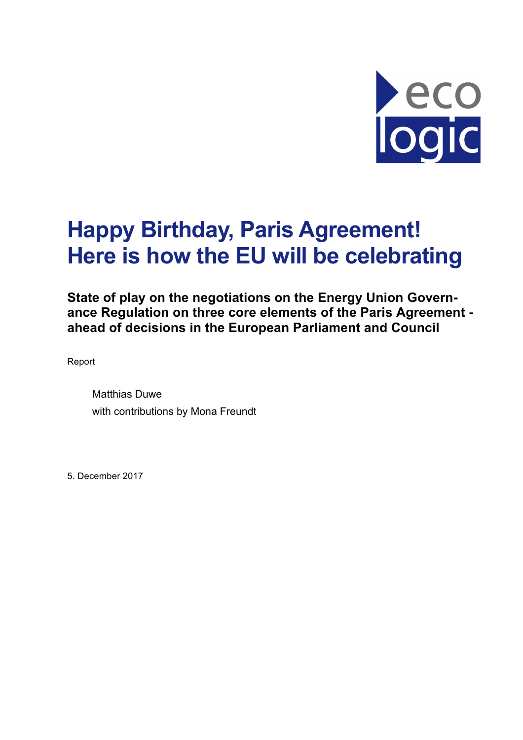

# **Happy Birthday, Paris Agreement! Here is how the EU will be celebrating**

**State of play on the negotiations on the Energy Union Governance Regulation on three core elements of the Paris Agreement ahead of decisions in the European Parliament and Council**

Report

Matthias Duwe with contributions by Mona Freundt

5. December 2017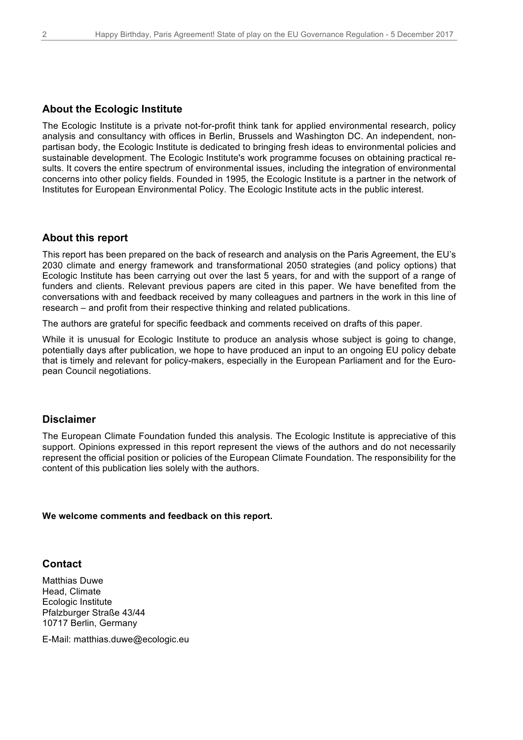#### **About the Ecologic Institute**

The Ecologic Institute is a private not-for-profit think tank for applied environmental research, policy analysis and consultancy with offices in Berlin, Brussels and Washington DC. An independent, nonpartisan body, the Ecologic Institute is dedicated to bringing fresh ideas to environmental policies and sustainable development. The Ecologic Institute's work programme focuses on obtaining practical results. It covers the entire spectrum of environmental issues, including the integration of environmental concerns into other policy fields. Founded in 1995, the Ecologic Institute is a partner in the network of Institutes for European Environmental Policy. The Ecologic Institute acts in the public interest.

#### **About this report**

This report has been prepared on the back of research and analysis on the Paris Agreement, the EU's 2030 climate and energy framework and transformational 2050 strategies (and policy options) that Ecologic Institute has been carrying out over the last 5 years, for and with the support of a range of funders and clients. Relevant previous papers are cited in this paper. We have benefited from the conversations with and feedback received by many colleagues and partners in the work in this line of research – and profit from their respective thinking and related publications.

The authors are grateful for specific feedback and comments received on drafts of this paper.

While it is unusual for Ecologic Institute to produce an analysis whose subject is going to change, potentially days after publication, we hope to have produced an input to an ongoing EU policy debate that is timely and relevant for policy-makers, especially in the European Parliament and for the European Council negotiations.

#### **Disclaimer**

The European Climate Foundation funded this analysis. The Ecologic Institute is appreciative of this support. Opinions expressed in this report represent the views of the authors and do not necessarily represent the official position or policies of the European Climate Foundation. The responsibility for the content of this publication lies solely with the authors.

#### **We welcome comments and feedback on this report.**

#### **Contact**

Matthias Duwe Head, Climate Ecologic Institute Pfalzburger Straße 43/44 10717 Berlin, Germany

E-Mail: matthias.duwe@ecologic.eu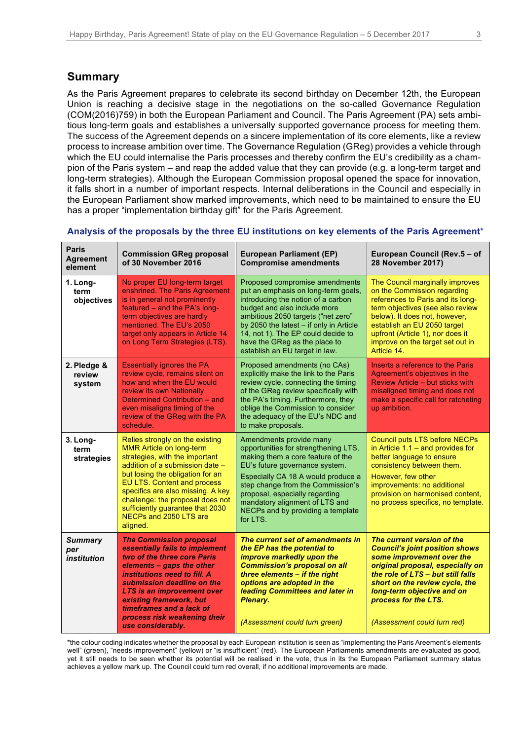### **Summary**

As the Paris Agreement prepares to celebrate its second birthday on December 12th, the European Union is reaching a decisive stage in the negotiations on the so-called Governance Regulation (COM(2016)759) in both the European Parliament and Council. The Paris Agreement (PA) sets ambitious long-term goals and establishes a universally supported governance process for meeting them. The success of the Agreement depends on a sincere implementation of its core elements, like a review process to increase ambition over time. The Governance Regulation (GReg) provides a vehicle through which the EU could internalise the Paris processes and thereby confirm the EU's credibility as a champion of the Paris system – and reap the added value that they can provide (e.g. a long-term target and long-term strategies). Although the European Commission proposal opened the space for innovation, it falls short in a number of important respects. Internal deliberations in the Council and especially in the European Parliament show marked improvements, which need to be maintained to ensure the EU has a proper "implementation birthday gift" for the Paris Agreement.

| <b>Paris</b><br><b>Agreement</b><br>element | <b>Commission GReg proposal</b><br>of 30 November 2016                                                                                                                                                                                                                                                                                                        | <b>European Parliament (EP)</b><br><b>Compromise amendments</b>                                                                                                                                                                                                                                                                        | European Council (Rev.5 - of<br><b>28 November 2017)</b>                                                                                                                                                                                                                                         |  |
|---------------------------------------------|---------------------------------------------------------------------------------------------------------------------------------------------------------------------------------------------------------------------------------------------------------------------------------------------------------------------------------------------------------------|----------------------------------------------------------------------------------------------------------------------------------------------------------------------------------------------------------------------------------------------------------------------------------------------------------------------------------------|--------------------------------------------------------------------------------------------------------------------------------------------------------------------------------------------------------------------------------------------------------------------------------------------------|--|
| 1. Long-<br>term<br>objectives              | No proper EU long-term target<br>enshrined. The Paris Agreement<br>is in general not prominently<br>featured - and the PA's long-<br>term objectives are hardly<br>mentioned. The EU's 2050<br>target only appears in Article 14<br>on Long Term Strategies (LTS).                                                                                            | Proposed compromise amendments<br>put an emphasis on long-term goals,<br>introducing the notion of a carbon<br>budget and also include more<br>ambitious 2050 targets ("net zero"<br>by 2050 the latest - if only in Article<br>14, not 1). The EP could decide to<br>have the GReg as the place to<br>establish an EU target in law.  | The Council marginally improves<br>on the Commission regarding<br>references to Paris and its long-<br>term objectives (see also review<br>below). It does not, however,<br>establish an EU 2050 target<br>upfront (Article 1), nor does it<br>improve on the target set out in<br>Article 14.   |  |
| 2. Pledge &<br>review<br>system             | <b>Essentially ignores the PA</b><br>review cycle, remains silent on<br>how and when the EU would<br>review its own Nationally<br>Determined Contribution – and<br>even misaligns timing of the<br>review of the GReg with the PA<br>schedule.                                                                                                                | Proposed amendments (no CAs)<br>explicitly make the link to the Paris<br>review cycle, connecting the timing<br>of the GReg review specifically with<br>the PA's timing. Furthermore, they<br>oblige the Commission to consider<br>the adequacy of the EU's NDC and<br>to make proposals.                                              | Inserts a reference to the Paris<br>Agreement's objectives in the<br>Review Article – but sticks with<br>misaligned timing and does not<br>make a specific call for ratcheting<br>up ambition.                                                                                                   |  |
| 3. Long-<br>term<br>strategies              | Relies strongly on the existing<br><b>MMR Article on long-term</b><br>strategies, with the important<br>addition of a submission date -<br>but losing the obligation for an<br>EU LTS. Content and process<br>specifics are also missing. A key<br>challenge: the proposal does not<br>sufficiently guarantee that 2030<br>NECPs and 2050 LTS are<br>aligned. | Amendments provide many<br>opportunities for strengthening LTS.<br>making them a core feature of the<br>EU's future governance system.<br>Especially CA 18 A would produce a<br>step change from the Commission's<br>proposal, especially regarding<br>mandatory alignment of LTS and<br>NECPs and by providing a template<br>for LTS. | <b>Council puts LTS before NECPs</b><br>in Article $1.1$ – and provides for<br>better language to ensure<br>consistency between them.<br>However, few other<br>improvements: no additional<br>provision on harmonised content.<br>no process specifics, no template.                             |  |
| <b>Summary</b><br>per<br><i>institution</i> | <b>The Commission proposal</b><br>essentially fails to implement<br>two of the three core Paris<br>elements - gaps the other<br>institutions need to fill. A<br>submission deadline on the<br><b>LTS is an improvement over</b><br>existing framework, but<br>timeframes and a lack of<br>process risk weakening their<br>use considerably.                   | The current set of amendments in<br>the EP has the potential to<br>improve markedly upon the<br><b>Commission's proposal on all</b><br>three elements - if the right<br>options are adopted in the<br>leading Committees and later in<br><b>Plenary.</b><br>(Assessment could turn green)                                              | The current version of the<br><b>Council's joint position shows</b><br>some improvement over the<br>original proposal, especially on<br>the role of LTS - but still falls<br>short on the review cycle, the<br>long-term objective and on<br>process for the LTS.<br>(Assessment could turn red) |  |

#### **Analysis of the proposals by the three EU institutions on key elements of the Paris Agreement**\*

\*the colour coding indicates whether the proposal by each European institution is seen as "implementing the Paris Areement's elements well" (green), "needs improvement" (yellow) or "is insufficient" (red). The European Parliaments amendments are evaluated as good, yet it still needs to be seen whether its potential will be realised in the vote, thus in its the European Parliament summary status achieves a yellow mark up. The Council could turn red overall, if no additional improvements are made.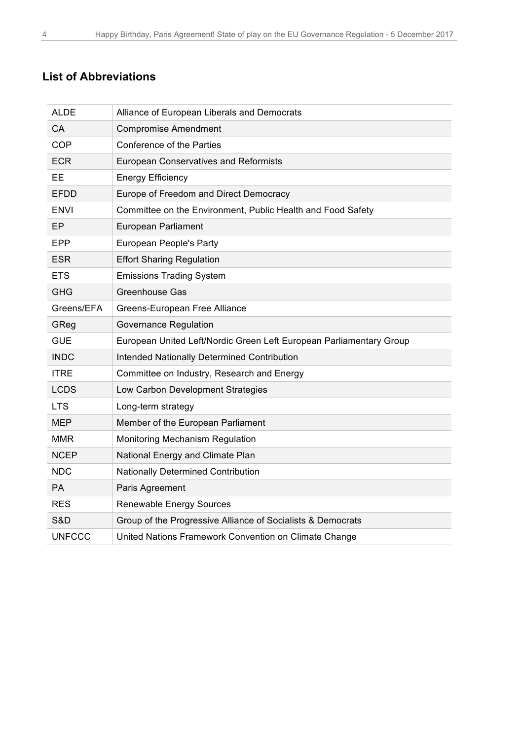# **List of Abbreviations**

| <b>ALDE</b>   | Alliance of European Liberals and Democrats                         |  |
|---------------|---------------------------------------------------------------------|--|
| CA            | <b>Compromise Amendment</b>                                         |  |
| <b>COP</b>    | <b>Conference of the Parties</b>                                    |  |
| <b>ECR</b>    | <b>European Conservatives and Reformists</b>                        |  |
| EЕ            | <b>Energy Efficiency</b>                                            |  |
| EFDD          | Europe of Freedom and Direct Democracy                              |  |
| ENVI          | Committee on the Environment, Public Health and Food Safety         |  |
| EP            | <b>European Parliament</b>                                          |  |
| <b>EPP</b>    | <b>European People's Party</b>                                      |  |
| ESR           | <b>Effort Sharing Regulation</b>                                    |  |
| ETS.          | <b>Emissions Trading System</b>                                     |  |
| <b>GHG</b>    | <b>Greenhouse Gas</b>                                               |  |
| Greens/EFA    | Greens-European Free Alliance                                       |  |
| GReg          | <b>Governance Regulation</b>                                        |  |
| <b>GUE</b>    | European United Left/Nordic Green Left European Parliamentary Group |  |
| <b>INDC</b>   | Intended Nationally Determined Contribution                         |  |
| <b>ITRE</b>   | Committee on Industry, Research and Energy                          |  |
| <b>LCDS</b>   | Low Carbon Development Strategies                                   |  |
| <b>LTS</b>    | Long-term strategy                                                  |  |
| <b>MEP</b>    | Member of the European Parliament                                   |  |
| MMR           | Monitoring Mechanism Regulation                                     |  |
| <b>NCEP</b>   | National Energy and Climate Plan                                    |  |
| <b>NDC</b>    | <b>Nationally Determined Contribution</b>                           |  |
| <b>PA</b>     | Paris Agreement                                                     |  |
| <b>RES</b>    | <b>Renewable Energy Sources</b>                                     |  |
| S&D           | Group of the Progressive Alliance of Socialists & Democrats         |  |
| <b>UNFCCC</b> | United Nations Framework Convention on Climate Change               |  |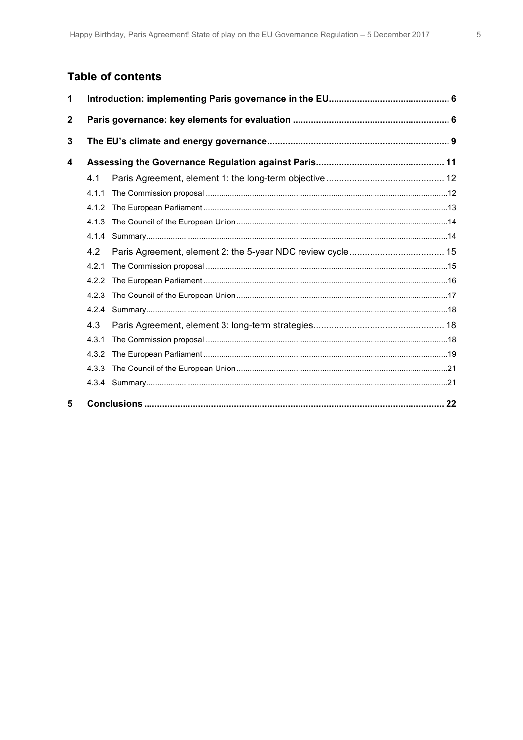# **Table of contents**

| 1            |       |  |  |
|--------------|-------|--|--|
| $\mathbf{2}$ |       |  |  |
| 3            |       |  |  |
| 4            |       |  |  |
|              | 4.1   |  |  |
|              | 4.1.1 |  |  |
|              | 4.1.2 |  |  |
|              | 4.1.3 |  |  |
|              | 4.1.4 |  |  |
|              | 4.2   |  |  |
|              | 4.2.1 |  |  |
|              | 4.2.2 |  |  |
|              | 4.2.3 |  |  |
|              | 4.2.4 |  |  |
|              | 4.3   |  |  |
|              | 4.3.1 |  |  |
|              | 4.3.2 |  |  |
|              | 4.3.3 |  |  |
|              |       |  |  |
| 5            |       |  |  |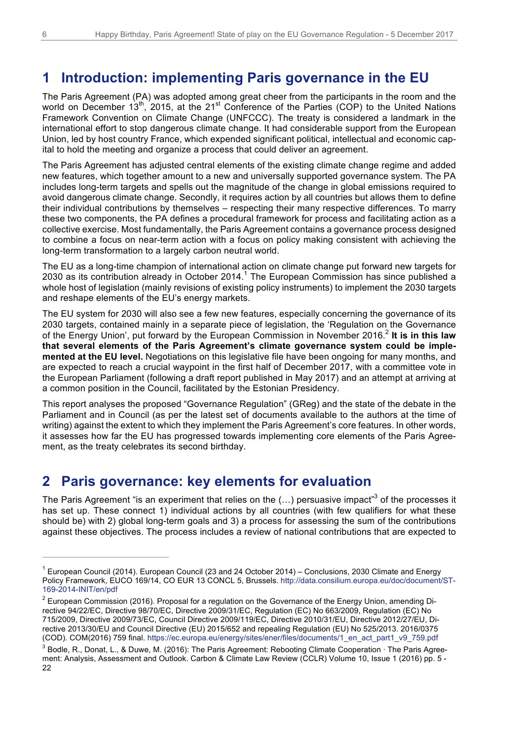# **1 Introduction: implementing Paris governance in the EU**

The Paris Agreement (PA) was adopted among great cheer from the participants in the room and the world on December 13<sup>th</sup>, 2015, at the 21<sup>st</sup> Conference of the Parties (COP) to the United Nations Framework Convention on Climate Change (UNFCCC). The treaty is considered a landmark in the international effort to stop dangerous climate change. It had considerable support from the European Union, led by host country France, which expended significant political, intellectual and economic capital to hold the meeting and organize a process that could deliver an agreement.

The Paris Agreement has adjusted central elements of the existing climate change regime and added new features, which together amount to a new and universally supported governance system. The PA includes long-term targets and spells out the magnitude of the change in global emissions required to avoid dangerous climate change. Secondly, it requires action by all countries but allows them to define their individual contributions by themselves – respecting their many respective differences. To marry these two components, the PA defines a procedural framework for process and facilitating action as a collective exercise. Most fundamentally, the Paris Agreement contains a governance process designed to combine a focus on near-term action with a focus on policy making consistent with achieving the long-term transformation to a largely carbon neutral world.

The EU as a long-time champion of international action on climate change put forward new targets for 2030 as its contribution already in October 2014.<sup>1</sup> The European Commission has since published a whole host of legislation (mainly revisions of existing policy instruments) to implement the 2030 targets and reshape elements of the EU's energy markets.

The EU system for 2030 will also see a few new features, especially concerning the governance of its 2030 targets, contained mainly in a separate piece of legislation, the 'Regulation on the Governance of the Energy Union', put forward by the European Commission in November 2016.<sup>2</sup> **It is in this law that several elements of the Paris Agreement's climate governance system could be implemented at the EU level.** Negotiations on this legislative file have been ongoing for many months, and are expected to reach a crucial waypoint in the first half of December 2017, with a committee vote in the European Parliament (following a draft report published in May 2017) and an attempt at arriving at a common position in the Council, facilitated by the Estonian Presidency.

This report analyses the proposed "Governance Regulation" (GReg) and the state of the debate in the Parliament and in Council (as per the latest set of documents available to the authors at the time of writing) against the extent to which they implement the Paris Agreement's core features. In other words, it assesses how far the EU has progressed towards implementing core elements of the Paris Agreement, as the treaty celebrates its second birthday.

# **2 Paris governance: key elements for evaluation**

The Paris Agreement "is an experiment that relies on the  $(...)$  persuasive impact"<sup>3</sup> of the processes it has set up. These connect 1) individual actions by all countries (with few qualifiers for what these should be) with 2) global long-term goals and 3) a process for assessing the sum of the contributions against these objectives. The process includes a review of national contributions that are expected to

European Council (2014). European Council (23 and 24 October 2014) – Conclusions, 2030 Climate and Energy Policy Framework, EUCO 169/14, CO EUR 13 CONCL 5, Brussels. http://data.consilium.europa.eu/doc/document/ST-169-2014-INIT/en/pdf

 $2$  European Commission (2016). Proposal for a regulation on the Governance of the Energy Union, amending Directive 94/22/EC, Directive 98/70/EC, Directive 2009/31/EC, Regulation (EC) No 663/2009, Regulation (EC) No 715/2009, Directive 2009/73/EC, Council Directive 2009/119/EC, Directive 2010/31/EU, Directive 2012/27/EU, Directive 2013/30/EU and Council Directive (EU) 2015/652 and repealing Regulation (EU) No 525/2013. 2016/0375 (COD). COM(2016) 759 final. https://ec.europa.eu/energy/sites/ener/files/documents/1\_en\_act\_part1\_v9\_759.pdf

<sup>3</sup> Bodle, R., Donat, L., & Duwe, M. (2016): The Paris Agreement: Rebooting Climate Cooperation ∙ The Paris Agreement: Analysis, Assessment and Outlook. Carbon & Climate Law Review (CCLR) Volume 10, Issue 1 (2016) pp. 5 - 22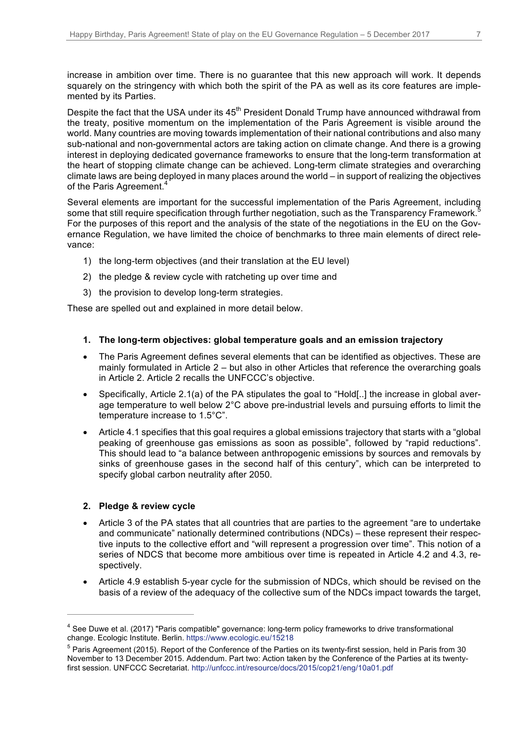increase in ambition over time. There is no guarantee that this new approach will work. It depends squarely on the stringency with which both the spirit of the PA as well as its core features are implemented by its Parties.

Despite the fact that the USA under its  $45<sup>th</sup>$  President Donald Trump have announced withdrawal from the treaty, positive momentum on the implementation of the Paris Agreement is visible around the world. Many countries are moving towards implementation of their national contributions and also many sub-national and non-governmental actors are taking action on climate change. And there is a growing interest in deploying dedicated governance frameworks to ensure that the long-term transformation at the heart of stopping climate change can be achieved. Long-term climate strategies and overarching climate laws are being deployed in many places around the world – in support of realizing the objectives of the Paris Agreement.<sup>4</sup>

Several elements are important for the successful implementation of the Paris Agreement, including some that still require specification through further negotiation, such as the Transparency Framework.<sup>5</sup> For the purposes of this report and the analysis of the state of the negotiations in the EU on the Governance Regulation, we have limited the choice of benchmarks to three main elements of direct relevance:

- 1) the long-term objectives (and their translation at the EU level)
- 2) the pledge & review cycle with ratcheting up over time and
- 3) the provision to develop long-term strategies.

These are spelled out and explained in more detail below.

#### **1. The long-term objectives: global temperature goals and an emission trajectory**

- The Paris Agreement defines several elements that can be identified as objectives. These are mainly formulated in Article 2 – but also in other Articles that reference the overarching goals in Article 2. Article 2 recalls the UNFCCC's objective.
- Specifically, Article 2.1(a) of the PA stipulates the goal to "Hold[..] the increase in global average temperature to well below 2°C above pre-industrial levels and pursuing efforts to limit the temperature increase to 1.5°C".
- Article 4.1 specifies that this goal requires a global emissions trajectory that starts with a "global peaking of greenhouse gas emissions as soon as possible", followed by "rapid reductions". This should lead to "a balance between anthropogenic emissions by sources and removals by sinks of greenhouse gases in the second half of this century", which can be interpreted to specify global carbon neutrality after 2050.

#### **2. Pledge & review cycle**

- Article 3 of the PA states that all countries that are parties to the agreement "are to undertake and communicate" nationally determined contributions (NDCs) – these represent their respective inputs to the collective effort and "will represent a progression over time". This notion of a series of NDCS that become more ambitious over time is repeated in Article 4.2 and 4.3, respectively.
- Article 4.9 establish 5-year cycle for the submission of NDCs, which should be revised on the basis of a review of the adequacy of the collective sum of the NDCs impact towards the target,

<sup>&</sup>lt;sup>4</sup> See Duwe et al. (2017) "Paris compatible" governance: long-term policy frameworks to drive transformational change. Ecologic Institute. Berlin. https://www.ecologic.eu/15218

<sup>5</sup> Paris Agreement (2015). Report of the Conference of the Parties on its twenty-first session, held in Paris from 30 November to 13 December 2015. Addendum. Part two: Action taken by the Conference of the Parties at its twentyfirst session. UNFCCC Secretariat. http://unfccc.int/resource/docs/2015/cop21/eng/10a01.pdf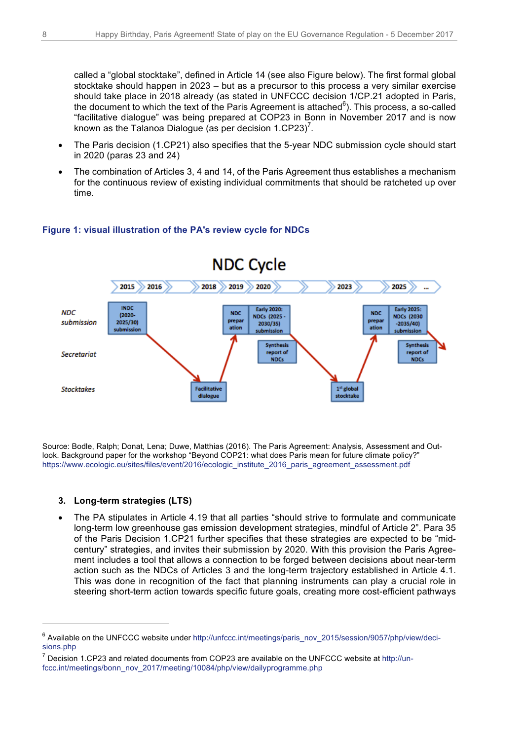called a "global stocktake", defined in Article 14 (see also Figure below). The first formal global stocktake should happen in 2023 – but as a precursor to this process a very similar exercise should take place in 2018 already (as stated in UNFCCC decision 1/CP.21 adopted in Paris, the document to which the text of the Paris Agreement is attached $^6$ ). This process, a so-called "facilitative dialogue" was being prepared at COP23 in Bonn in November 2017 and is now known as the Talanoa Dialogue (as per decision  $1.CP23$ )<sup>7</sup>.

- The Paris decision (1.CP21) also specifies that the 5-year NDC submission cycle should start in 2020 (paras 23 and 24)
- The combination of Articles 3, 4 and 14, of the Paris Agreement thus establishes a mechanism for the continuous review of existing individual commitments that should be ratcheted up over time.

#### **Figure 1: visual illustration of the PA's review cycle for NDCs**



Source: Bodle, Ralph; Donat, Lena; Duwe, Matthias (2016). The Paris Agreement: Analysis, Assessment and Outlook. Background paper for the workshop "Beyond COP21: what does Paris mean for future climate policy?" https://www.ecologic.eu/sites/files/event/2016/ecologic\_institute\_2016\_paris\_agreement\_assessment.pdf

#### **3. Long-term strategies (LTS)**

 $\overline{a}$ 

• The PA stipulates in Article 4.19 that all parties "should strive to formulate and communicate long-term low greenhouse gas emission development strategies, mindful of Article 2". Para 35 of the Paris Decision 1.CP21 further specifies that these strategies are expected to be "midcentury" strategies, and invites their submission by 2020. With this provision the Paris Agreement includes a tool that allows a connection to be forged between decisions about near-term action such as the NDCs of Articles 3 and the long-term trajectory established in Article 4.1. This was done in recognition of the fact that planning instruments can play a crucial role in steering short-term action towards specific future goals, creating more cost-efficient pathways

<sup>6</sup> Available on the UNFCCC website under http://unfccc.int/meetings/paris\_nov\_2015/session/9057/php/view/decisions.php

Decision 1.CP23 and related documents from COP23 are available on the UNFCCC website at http://unfccc.int/meetings/bonn\_nov\_2017/meeting/10084/php/view/dailyprogramme.php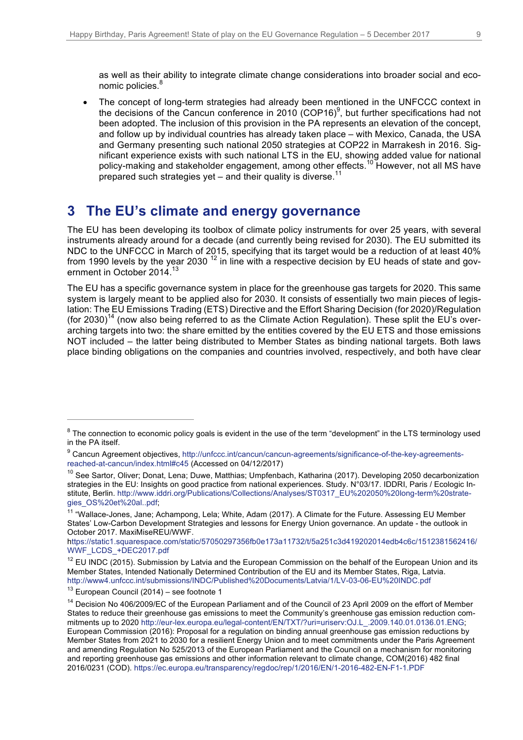as well as their ability to integrate climate change considerations into broader social and economic policies.<sup>8</sup>

• The concept of long-term strategies had already been mentioned in the UNFCCC context in the decisions of the Cancun conference in 2010 (COP16) $9$ , but further specifications had not been adopted. The inclusion of this provision in the PA represents an elevation of the concept, and follow up by individual countries has already taken place – with Mexico, Canada, the USA and Germany presenting such national 2050 strategies at COP22 in Marrakesh in 2016. Significant experience exists with such national LTS in the EU, showing added value for national policy-making and stakeholder engagement, among other effects.<sup>10</sup> However, not all MS have prepared such strategies yet – and their quality is diverse.<sup>11</sup>

# **3 The EU's climate and energy governance**

The EU has been developing its toolbox of climate policy instruments for over 25 years, with several instruments already around for a decade (and currently being revised for 2030). The EU submitted its NDC to the UNFCCC in March of 2015, specifying that its target would be a reduction of at least 40% from 1990 levels by the year 2030<sup>12</sup> in line with a respective decision by EU heads of state and government in October 2014.<sup>13</sup>

The EU has a specific governance system in place for the greenhouse gas targets for 2020. This same system is largely meant to be applied also for 2030. It consists of essentially two main pieces of legislation: The EU Emissions Trading (ETS) Directive and the Effort Sharing Decision (for 2020)/Regulation (for 2030)<sup>14</sup> (now also being referred to as the Climate Action Regulation). These split the EU's overarching targets into two: the share emitted by the entities covered by the EU ETS and those emissions NOT included – the latter being distributed to Member States as binding national targets. Both laws place binding obligations on the companies and countries involved, respectively, and both have clear

 $8$  The connection to economic policy goals is evident in the use of the term "development" in the LTS terminology used in the PA itself.

<sup>&</sup>lt;sup>9</sup> Cancun Agreement objectives, http://unfccc.int/cancun/cancun-agreements/significance-of-the-key-agreementsreached-at-cancun/index.html#c45 (Accessed on 04/12/2017)

<sup>&</sup>lt;sup>10</sup> See Sartor, Oliver; Donat, Lena; Duwe, Matthias; Umpfenbach, Katharina (2017). Developing 2050 decarbonization strategies in the EU: Insights on good practice from national experiences. Study. N°03/17. IDDRI, Paris / Ecologic Institute, Berlin. http://www.iddri.org/Publications/Collections/Analyses/ST0317\_EU%202050%20long-term%20strategies\_OS%20et%20al..pdf;

<sup>&</sup>lt;sup>11</sup> "Wallace-Jones, Jane; Achampong, Lela; White, Adam (2017). A Climate for the Future. Assessing EU Member States' Low-Carbon Development Strategies and lessons for Energy Union governance. An update - the outlook in October 2017. MaxiMiseREU/WWF.

https://static1.squarespace.com/static/57050297356fb0e173a11732/t/5a251c3d419202014edb4c6c/1512381562416/ WWF\_LCDS\_+DEC2017.pdf

<sup>&</sup>lt;sup>12</sup> EU INDC (2015). Submission by Latvia and the European Commission on the behalf of the European Union and its Member States, Intended Nationally Determined Contribution of the EU and its Member States, Riga, Latvia. http://www4.unfccc.int/submissions/INDC/Published%20Documents/Latvia/1/LV-03-06-EU%20INDC.pdf

 $13$  European Council (2014) – see footnote 1

<sup>&</sup>lt;sup>14</sup> Decision No 406/2009/EC of the European Parliament and of the Council of 23 April 2009 on the effort of Member States to reduce their greenhouse gas emissions to meet the Community's greenhouse gas emission reduction commitments up to 2020 http://eur-lex.europa.eu/legal-content/EN/TXT/?uri=uriserv:OJ.L\_.2009.140.01.0136.01.ENG; European Commission (2016): Proposal for a regulation on binding annual greenhouse gas emission reductions by Member States from 2021 to 2030 for a resilient Energy Union and to meet commitments under the Paris Agreement and amending Regulation No 525/2013 of the European Parliament and the Council on a mechanism for monitoring and reporting greenhouse gas emissions and other information relevant to climate change, COM(2016) 482 final 2016/0231 (COD). https://ec.europa.eu/transparency/regdoc/rep/1/2016/EN/1-2016-482-EN-F1-1.PDF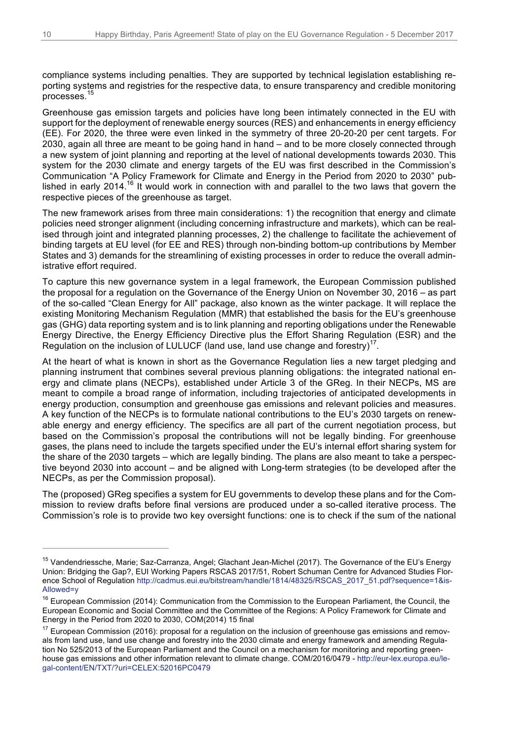compliance systems including penalties. They are supported by technical legislation establishing reporting systems and registries for the respective data, to ensure transparency and credible monitoring processes.

Greenhouse gas emission targets and policies have long been intimately connected in the EU with support for the deployment of renewable energy sources (RES) and enhancements in energy efficiency (EE). For 2020, the three were even linked in the symmetry of three 20-20-20 per cent targets. For 2030, again all three are meant to be going hand in hand – and to be more closely connected through a new system of joint planning and reporting at the level of national developments towards 2030. This system for the 2030 climate and energy targets of the EU was first described in the Commission's Communication "A Policy Framework for Climate and Energy in the Period from 2020 to 2030" published in early 2014.<sup>16</sup> It would work in connection with and parallel to the two laws that govern the respective pieces of the greenhouse as target.

The new framework arises from three main considerations: 1) the recognition that energy and climate policies need stronger alignment (including concerning infrastructure and markets), which can be realised through joint and integrated planning processes, 2) the challenge to facilitate the achievement of binding targets at EU level (for EE and RES) through non-binding bottom-up contributions by Member States and 3) demands for the streamlining of existing processes in order to reduce the overall administrative effort required.

To capture this new governance system in a legal framework, the European Commission published the proposal for a regulation on the Governance of the Energy Union on November 30, 2016 – as part of the so-called "Clean Energy for All" package, also known as the winter package. It will replace the existing Monitoring Mechanism Regulation (MMR) that established the basis for the EU's greenhouse gas (GHG) data reporting system and is to link planning and reporting obligations under the Renewable Energy Directive, the Energy Efficiency Directive plus the Effort Sharing Regulation (ESR) and the Regulation on the inclusion of LULUCF (land use, land use change and forestry)<sup>17</sup>.

At the heart of what is known in short as the Governance Regulation lies a new target pledging and planning instrument that combines several previous planning obligations: the integrated national energy and climate plans (NECPs), established under Article 3 of the GReg. In their NECPs, MS are meant to compile a broad range of information, including trajectories of anticipated developments in energy production, consumption and greenhouse gas emissions and relevant policies and measures. A key function of the NECPs is to formulate national contributions to the EU's 2030 targets on renewable energy and energy efficiency. The specifics are all part of the current negotiation process, but based on the Commission's proposal the contributions will not be legally binding. For greenhouse gases, the plans need to include the targets specified under the EU's internal effort sharing system for the share of the 2030 targets – which are legally binding. The plans are also meant to take a perspective beyond 2030 into account – and be aligned with Long-term strategies (to be developed after the NECPs, as per the Commission proposal).

The (proposed) GReg specifies a system for EU governments to develop these plans and for the Commission to review drafts before final versions are produced under a so-called iterative process. The Commission's role is to provide two key oversight functions: one is to check if the sum of the national

<sup>&</sup>lt;sup>15</sup> Vandendriessche, Marie; Saz-Carranza, Angel; Glachant Jean-Michel (2017). The Governance of the EU's Energy Union: Bridging the Gap?, EUI Working Papers RSCAS 2017/51, Robert Schuman Centre for Advanced Studies Florence School of Regulation http://cadmus.eui.eu/bitstream/handle/1814/48325/RSCAS\_2017\_51.pdf?sequence=1&is-Allowed=y

<sup>&</sup>lt;sup>16</sup> European Commission (2014): Communication from the Commission to the European Parliament, the Council, the European Economic and Social Committee and the Committee of the Regions: A Policy Framework for Climate and Energy in the Period from 2020 to 2030, COM(2014) 15 final

 $17$  European Commission (2016): proposal for a regulation on the inclusion of greenhouse gas emissions and removals from land use, land use change and forestry into the 2030 climate and energy framework and amending Regulation No 525/2013 of the European Parliament and the Council on a mechanism for monitoring and reporting greenhouse gas emissions and other information relevant to climate change. COM/2016/0479 - http://eur-lex.europa.eu/legal-content/EN/TXT/?uri=CELEX:52016PC0479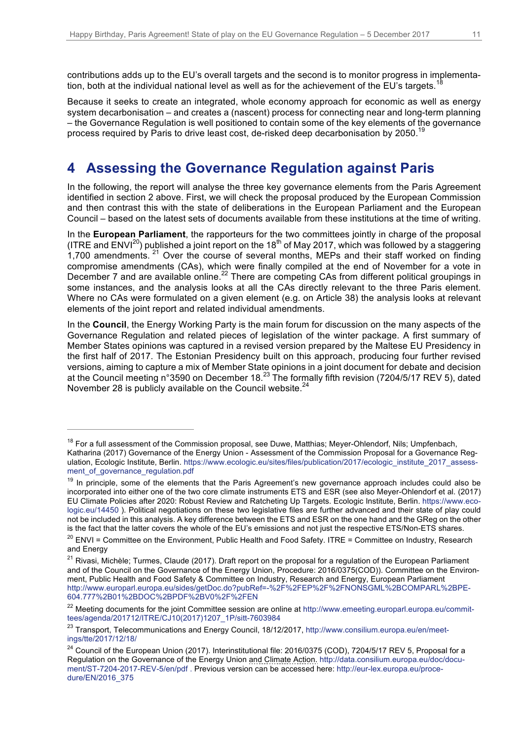contributions adds up to the EU's overall targets and the second is to monitor progress in implementation, both at the individual national level as well as for the achievement of the EU's targets.

Because it seeks to create an integrated, whole economy approach for economic as well as energy system decarbonisation – and creates a (nascent) process for connecting near and long-term planning – the Governance Regulation is well positioned to contain some of the key elements of the governance process required by Paris to drive least cost, de-risked deep decarbonisation by 2050.<sup>19</sup>

# **4 Assessing the Governance Regulation against Paris**

In the following, the report will analyse the three key governance elements from the Paris Agreement identified in section 2 above. First, we will check the proposal produced by the European Commission and then contrast this with the state of deliberations in the European Parliament and the European Council – based on the latest sets of documents available from these institutions at the time of writing.

In the **European Parliament**, the rapporteurs for the two committees jointly in charge of the proposal (ITRE and  $ENVI^{20}$ ) published a joint report on the 18<sup>th</sup> of May 2017, which was followed by a staggering 1,700 amendments.  $21$  Over the course of several months, MEPs and their staff worked on finding compromise amendments (CAs), which were finally compiled at the end of November for a vote in December 7 and are available online.<sup>22</sup> There are competing CAs from different political groupings in some instances, and the analysis looks at all the CAs directly relevant to the three Paris element. Where no CAs were formulated on a given element (e.g. on Article 38) the analysis looks at relevant elements of the joint report and related individual amendments.

In the **Council**, the Energy Working Party is the main forum for discussion on the many aspects of the Governance Regulation and related pieces of legislation of the winter package. A first summary of Member States opinions was captured in a revised version prepared by the Maltese EU Presidency in the first half of 2017. The Estonian Presidency built on this approach, producing four further revised versions, aiming to capture a mix of Member State opinions in a joint document for debate and decision at the Council meeting n°3590 on December 18.<sup>23</sup> The formally fifth revision (7204/5/17 REV 5), dated November 28 is publicly available on the Council website.<sup>24</sup>

<sup>&</sup>lt;sup>18</sup> For a full assessment of the Commission proposal, see Duwe, Matthias; Meyer-Ohlendorf, Nils; Umpfenbach, Katharina (2017) Governance of the Energy Union - Assessment of the Commission Proposal for a Governance Regulation, Ecologic Institute, Berlin. https://www.ecologic.eu/sites/files/publication/2017/ecologic\_institute\_2017\_assessment of governance regulation.pdf

<sup>&</sup>lt;sup>19</sup> In principle, some of the elements that the Paris Agreement's new governance approach includes could also be incorporated into either one of the two core climate instruments ETS and ESR (see also Meyer-Ohlendorf et al. (2017) EU Climate Policies after 2020: Robust Review and Ratcheting Up Targets. Ecologic Institute, Berlin. https://www.ecologic.eu/14450 ). Political negotiations on these two legislative files are further advanced and their state of play could not be included in this analysis. A key difference between the ETS and ESR on the one hand and the GReg on the other is the fact that the latter covers the whole of the EU's emissions and not just the respective ETS/Non-ETS shares.

 $20$  ENVI = Committee on the Environment, Public Health and Food Safety. ITRE = Committee on Industry, Research and Energy

<sup>&</sup>lt;sup>21</sup> Rivasi, Michèle; Turmes, Claude (2017). Draft report on the proposal for a regulation of the European Parliament and of the Council on the Governance of the Energy Union, Procedure: 2016/0375(COD)). Committee on the Environment, Public Health and Food Safety & Committee on Industry, Research and Energy, European Parliament http://www.europarl.europa.eu/sides/getDoc.do?pubRef=-%2F%2FEP%2F%2FNONSGML%2BCOMPARL%2BPE-604.777%2B01%2BDOC%2BPDF%2BV0%2F%2FEN

<sup>&</sup>lt;sup>22</sup> Meeting documents for the joint Committee session are online at http://www.emeeting.europarl.europa.eu/committees/agenda/201712/ITRE/CJ10(2017)1207\_1P/sitt-7603984

<sup>&</sup>lt;sup>23</sup> Transport, Telecommunications and Energy Council, 18/12/2017, http://www.consilium.europa.eu/en/meetings/tte/2017/12/18/

 $24$  Council of the European Union (2017). Interinstitutional file: 2016/0375 (COD), 7204/5/17 REV 5, Proposal for a Regulation on the Governance of the Energy Union and Climate Action. http://data.consilium.europa.eu/doc/document/ST-7204-2017-REV-5/en/pdf . Previous version can be accessed here: http://eur-lex.europa.eu/procedure/EN/2016\_375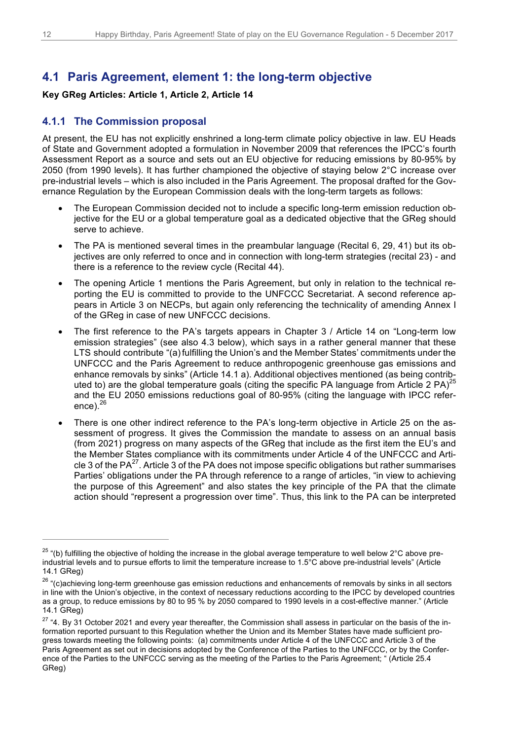## **4.1 Paris Agreement, element 1: the long-term objective**

#### **Key GReg Articles: Article 1, Article 2, Article 14**

#### **4.1.1 The Commission proposal**

At present, the EU has not explicitly enshrined a long-term climate policy objective in law. EU Heads of State and Government adopted a formulation in November 2009 that references the IPCC's fourth Assessment Report as a source and sets out an EU objective for reducing emissions by 80-95% by 2050 (from 1990 levels). It has further championed the objective of staying below 2°C increase over pre-industrial levels – which is also included in the Paris Agreement. The proposal drafted for the Governance Regulation by the European Commission deals with the long-term targets as follows:

- The European Commission decided not to include a specific long-term emission reduction objective for the EU or a global temperature goal as a dedicated objective that the GReg should serve to achieve.
- The PA is mentioned several times in the preambular language (Recital 6, 29, 41) but its objectives are only referred to once and in connection with long-term strategies (recital 23) - and there is a reference to the review cycle (Recital 44).
- The opening Article 1 mentions the Paris Agreement, but only in relation to the technical reporting the EU is committed to provide to the UNFCCC Secretariat. A second reference appears in Article 3 on NECPs, but again only referencing the technicality of amending Annex I of the GReg in case of new UNFCCC decisions.
- The first reference to the PA's targets appears in Chapter 3 / Article 14 on "Long-term low emission strategies" (see also 4.3 below), which says in a rather general manner that these LTS should contribute "(a) fulfilling the Union's and the Member States' commitments under the UNFCCC and the Paris Agreement to reduce anthropogenic greenhouse gas emissions and enhance removals by sinks" (Article 14.1 a). Additional objectives mentioned (as being contributed to) are the global temperature goals (citing the specific PA language from Article 2 PA)<sup>25</sup> and the EU 2050 emissions reductions goal of 80-95% (citing the language with IPCC reference). $^{26}$
- There is one other indirect reference to the PA's long-term objective in Article 25 on the assessment of progress. It gives the Commission the mandate to assess on an annual basis (from 2021) progress on many aspects of the GReg that include as the first item the EU's and the Member States compliance with its commitments under Article 4 of the UNFCCC and Article 3 of the  $PA^{27}$ . Article 3 of the PA does not impose specific obligations but rather summarises Parties' obligations under the PA through reference to a range of articles, "in view to achieving the purpose of this Agreement" and also states the key principle of the PA that the climate action should "represent a progression over time". Thus, this link to the PA can be interpreted

 $25$  "(b) fulfilling the objective of holding the increase in the global average temperature to well below  $2^{\circ}$ C above preindustrial levels and to pursue efforts to limit the temperature increase to 1.5°C above pre-industrial levels" (Article 14.1 GReg)

<sup>&</sup>lt;sup>26</sup> "(c)achieving long-term greenhouse gas emission reductions and enhancements of removals by sinks in all sectors in line with the Union's objective, in the context of necessary reductions according to the IPCC by developed countries as a group, to reduce emissions by 80 to 95 % by 2050 compared to 1990 levels in a cost-effective manner." (Article 14.1 GReg)

<sup>&</sup>lt;sup>27</sup> "4. By 31 October 2021 and every year thereafter, the Commission shall assess in particular on the basis of the information reported pursuant to this Regulation whether the Union and its Member States have made sufficient progress towards meeting the following points: (a) commitments under Article 4 of the UNFCCC and Article 3 of the Paris Agreement as set out in decisions adopted by the Conference of the Parties to the UNFCCC, or by the Conference of the Parties to the UNFCCC serving as the meeting of the Parties to the Paris Agreement; " (Article 25.4 GReg)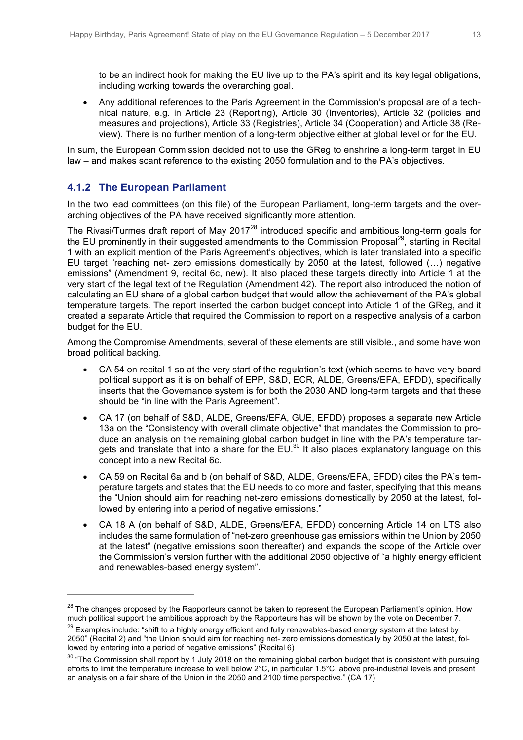to be an indirect hook for making the EU live up to the PA's spirit and its key legal obligations, including working towards the overarching goal.

• Any additional references to the Paris Agreement in the Commission's proposal are of a technical nature, e.g. in Article 23 (Reporting), Article 30 (Inventories), Article 32 (policies and measures and projections), Article 33 (Registries), Article 34 (Cooperation) and Article 38 (Review). There is no further mention of a long-term objective either at global level or for the EU.

In sum, the European Commission decided not to use the GReg to enshrine a long-term target in EU law – and makes scant reference to the existing 2050 formulation and to the PA's objectives.

#### **4.1.2 The European Parliament**

 $\overline{a}$ 

In the two lead committees (on this file) of the European Parliament, long-term targets and the overarching objectives of the PA have received significantly more attention.

The Rivasi/Turmes draft report of May 2017<sup>28</sup> introduced specific and ambitious long-term goals for the EU prominently in their suggested amendments to the Commission Proposal<sup>29</sup>, starting in Recital 1 with an explicit mention of the Paris Agreement's objectives, which is later translated into a specific EU target "reaching net- zero emissions domestically by 2050 at the latest, followed (…) negative emissions" (Amendment 9, recital 6c, new). It also placed these targets directly into Article 1 at the very start of the legal text of the Regulation (Amendment 42). The report also introduced the notion of calculating an EU share of a global carbon budget that would allow the achievement of the PA's global temperature targets. The report inserted the carbon budget concept into Article 1 of the GReg, and it created a separate Article that required the Commission to report on a respective analysis of a carbon budget for the EU.

Among the Compromise Amendments, several of these elements are still visible., and some have won broad political backing.

- CA 54 on recital 1 so at the very start of the regulation's text (which seems to have very board political support as it is on behalf of EPP, S&D, ECR, ALDE, Greens/EFA, EFDD), specifically inserts that the Governance system is for both the 2030 AND long-term targets and that these should be "in line with the Paris Agreement".
- CA 17 (on behalf of S&D, ALDE, Greens/EFA, GUE, EFDD) proposes a separate new Article 13a on the "Consistency with overall climate objective" that mandates the Commission to produce an analysis on the remaining global carbon budget in line with the PA's temperature targets and translate that into a share for the EU. $^{30}$  It also places explanatory language on this concept into a new Recital 6c.
- CA 59 on Recital 6a and b (on behalf of S&D, ALDE, Greens/EFA, EFDD) cites the PA's temperature targets and states that the EU needs to do more and faster, specifying that this means the "Union should aim for reaching net-zero emissions domestically by 2050 at the latest, followed by entering into a period of negative emissions."
- CA 18 A (on behalf of S&D, ALDE, Greens/EFA, EFDD) concerning Article 14 on LTS also includes the same formulation of "net-zero greenhouse gas emissions within the Union by 2050 at the latest" (negative emissions soon thereafter) and expands the scope of the Article over the Commission's version further with the additional 2050 objective of "a highly energy efficient and renewables-based energy system".

<sup>&</sup>lt;sup>28</sup> The changes proposed by the Rapporteurs cannot be taken to represent the European Parliament's opinion. How much political support the ambitious approach by the Rapporteurs has will be shown by the vote on December 7.

<sup>&</sup>lt;sup>29</sup> Examples include: "shift to a highly energy efficient and fully renewables-based energy system at the latest by 2050" (Recital 2) and "the Union should aim for reaching net- zero emissions domestically by 2050 at the latest, followed by entering into a period of negative emissions" (Recital 6)

 $30$  "The Commission shall report by 1 July 2018 on the remaining global carbon budget that is consistent with pursuing efforts to limit the temperature increase to well below 2°C, in particular 1.5°C, above pre-industrial levels and present an analysis on a fair share of the Union in the 2050 and 2100 time perspective." (CA 17)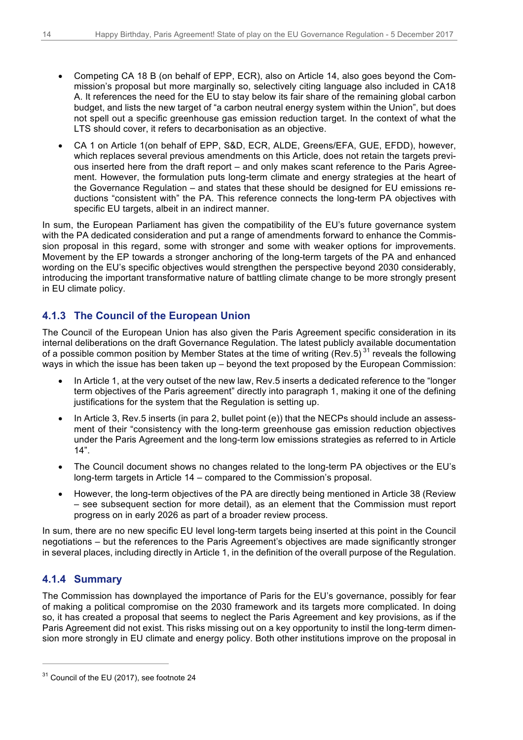- Competing CA 18 B (on behalf of EPP, ECR), also on Article 14, also goes beyond the Commission's proposal but more marginally so, selectively citing language also included in CA18 A. It references the need for the EU to stay below its fair share of the remaining global carbon budget, and lists the new target of "a carbon neutral energy system within the Union", but does not spell out a specific greenhouse gas emission reduction target. In the context of what the LTS should cover, it refers to decarbonisation as an objective.
- CA 1 on Article 1(on behalf of EPP, S&D, ECR, ALDE, Greens/EFA, GUE, EFDD), however, which replaces several previous amendments on this Article, does not retain the targets previous inserted here from the draft report – and only makes scant reference to the Paris Agreement. However, the formulation puts long-term climate and energy strategies at the heart of the Governance Regulation – and states that these should be designed for EU emissions reductions "consistent with" the PA. This reference connects the long-term PA objectives with specific EU targets, albeit in an indirect manner.

In sum, the European Parliament has given the compatibility of the EU's future governance system with the PA dedicated consideration and put a range of amendments forward to enhance the Commission proposal in this regard, some with stronger and some with weaker options for improvements. Movement by the EP towards a stronger anchoring of the long-term targets of the PA and enhanced wording on the EU's specific objectives would strengthen the perspective beyond 2030 considerably, introducing the important transformative nature of battling climate change to be more strongly present in EU climate policy.

### **4.1.3 The Council of the European Union**

The Council of the European Union has also given the Paris Agreement specific consideration in its internal deliberations on the draft Governance Regulation. The latest publicly available documentation of a possible common position by Member States at the time of writing (Rev.5)<sup>31</sup> reveals the following ways in which the issue has been taken up – beyond the text proposed by the European Commission:

- In Article 1, at the very outset of the new law, Rev.5 inserts a dedicated reference to the "longer term objectives of the Paris agreement" directly into paragraph 1, making it one of the defining justifications for the system that the Regulation is setting up.
- In Article 3, Rev.5 inserts (in para 2, bullet point (e)) that the NECPs should include an assessment of their "consistency with the long-term greenhouse gas emission reduction objectives under the Paris Agreement and the long-term low emissions strategies as referred to in Article 14".
- The Council document shows no changes related to the long-term PA objectives or the EU's long-term targets in Article 14 – compared to the Commission's proposal.
- However, the long-term objectives of the PA are directly being mentioned in Article 38 (Review – see subsequent section for more detail), as an element that the Commission must report progress on in early 2026 as part of a broader review process.

In sum, there are no new specific EU level long-term targets being inserted at this point in the Council negotiations – but the references to the Paris Agreement's objectives are made significantly stronger in several places, including directly in Article 1, in the definition of the overall purpose of the Regulation.

### **4.1.4 Summary**

 $\overline{a}$ 

The Commission has downplayed the importance of Paris for the EU's governance, possibly for fear of making a political compromise on the 2030 framework and its targets more complicated. In doing so, it has created a proposal that seems to neglect the Paris Agreement and key provisions, as if the Paris Agreement did not exist. This risks missing out on a key opportunity to instil the long-term dimension more strongly in EU climate and energy policy. Both other institutions improve on the proposal in

<sup>&</sup>lt;sup>31</sup> Council of the EU (2017), see footnote 24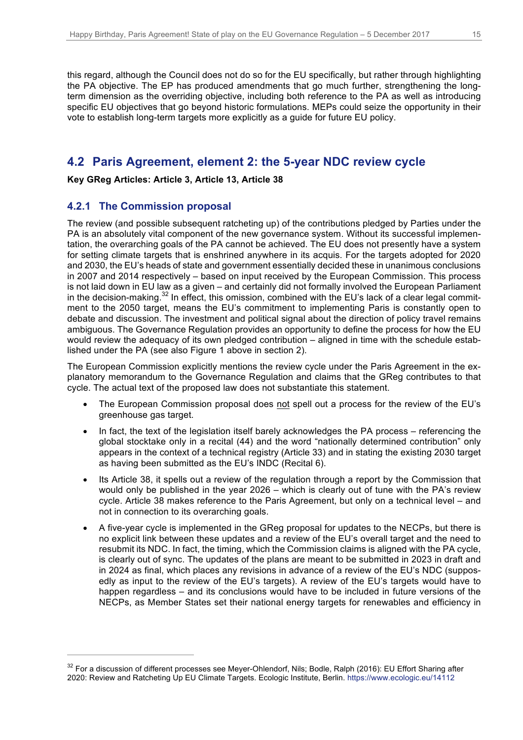this regard, although the Council does not do so for the EU specifically, but rather through highlighting the PA objective. The EP has produced amendments that go much further, strengthening the longterm dimension as the overriding objective, including both reference to the PA as well as introducing specific EU objectives that go beyond historic formulations. MEPs could seize the opportunity in their vote to establish long-term targets more explicitly as a guide for future EU policy.

## **4.2 Paris Agreement, element 2: the 5-year NDC review cycle**

**Key GReg Articles: Article 3, Article 13, Article 38**

### **4.2.1 The Commission proposal**

 $\overline{a}$ 

The review (and possible subsequent ratcheting up) of the contributions pledged by Parties under the PA is an absolutely vital component of the new governance system. Without its successful implementation, the overarching goals of the PA cannot be achieved. The EU does not presently have a system for setting climate targets that is enshrined anywhere in its acquis. For the targets adopted for 2020 and 2030, the EU's heads of state and government essentially decided these in unanimous conclusions in 2007 and 2014 respectively – based on input received by the European Commission. This process is not laid down in EU law as a given – and certainly did not formally involved the European Parliament in the decision-making.<sup>32</sup> In effect, this omission, combined with the EU's lack of a clear legal commitment to the 2050 target, means the EU's commitment to implementing Paris is constantly open to debate and discussion. The investment and political signal about the direction of policy travel remains ambiguous. The Governance Regulation provides an opportunity to define the process for how the EU would review the adequacy of its own pledged contribution – aligned in time with the schedule established under the PA (see also Figure 1 above in section 2).

The European Commission explicitly mentions the review cycle under the Paris Agreement in the explanatory memorandum to the Governance Regulation and claims that the GReg contributes to that cycle. The actual text of the proposed law does not substantiate this statement.

- The European Commission proposal does not spell out a process for the review of the EU's greenhouse gas target.
- In fact, the text of the legislation itself barely acknowledges the PA process referencing the global stocktake only in a recital (44) and the word "nationally determined contribution" only appears in the context of a technical registry (Article 33) and in stating the existing 2030 target as having been submitted as the EU's INDC (Recital 6).
- Its Article 38, it spells out a review of the regulation through a report by the Commission that would only be published in the year 2026 – which is clearly out of tune with the PA's review cycle. Article 38 makes reference to the Paris Agreement, but only on a technical level – and not in connection to its overarching goals.
- A five-year cycle is implemented in the GReg proposal for updates to the NECPs, but there is no explicit link between these updates and a review of the EU's overall target and the need to resubmit its NDC. In fact, the timing, which the Commission claims is aligned with the PA cycle, is clearly out of sync. The updates of the plans are meant to be submitted in 2023 in draft and in 2024 as final, which places any revisions in advance of a review of the EU's NDC (supposedly as input to the review of the EU's targets). A review of the EU's targets would have to happen regardless – and its conclusions would have to be included in future versions of the NECPs, as Member States set their national energy targets for renewables and efficiency in

<sup>&</sup>lt;sup>32</sup> For a discussion of different processes see Meyer-Ohlendorf, Nils; Bodle, Ralph (2016): EU Effort Sharing after 2020: Review and Ratcheting Up EU Climate Targets. Ecologic Institute, Berlin. https://www.ecologic.eu/14112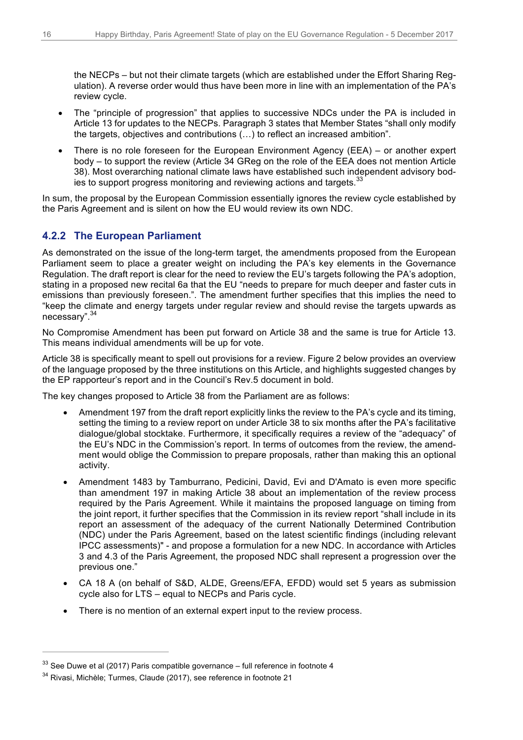the NECPs – but not their climate targets (which are established under the Effort Sharing Regulation). A reverse order would thus have been more in line with an implementation of the PA's review cycle.

- The "principle of progression" that applies to successive NDCs under the PA is included in Article 13 for updates to the NECPs. Paragraph 3 states that Member States "shall only modify the targets, objectives and contributions (…) to reflect an increased ambition".
- There is no role foreseen for the European Environment Agency (EEA) or another expert body – to support the review (Article 34 GReg on the role of the EEA does not mention Article 38). Most overarching national climate laws have established such independent advisory bodies to support progress monitoring and reviewing actions and targets.<sup>33</sup>

In sum, the proposal by the European Commission essentially ignores the review cycle established by the Paris Agreement and is silent on how the EU would review its own NDC.

#### **4.2.2 The European Parliament**

As demonstrated on the issue of the long-term target, the amendments proposed from the European Parliament seem to place a greater weight on including the PA's key elements in the Governance Regulation. The draft report is clear for the need to review the EU's targets following the PA's adoption, stating in a proposed new recital 6a that the EU "needs to prepare for much deeper and faster cuts in emissions than previously foreseen.". The amendment further specifies that this implies the need to "keep the climate and energy targets under regular review and should revise the targets upwards as necessary".<sup>34</sup>

No Compromise Amendment has been put forward on Article 38 and the same is true for Article 13. This means individual amendments will be up for vote.

Article 38 is specifically meant to spell out provisions for a review. Figure 2 below provides an overview of the language proposed by the three institutions on this Article, and highlights suggested changes by the EP rapporteur's report and in the Council's Rev.5 document in bold.

The key changes proposed to Article 38 from the Parliament are as follows:

- Amendment 197 from the draft report explicitly links the review to the PA's cycle and its timing, setting the timing to a review report on under Article 38 to six months after the PA's facilitative dialogue/global stocktake. Furthermore, it specifically requires a review of the "adequacy" of the EU's NDC in the Commission's report. In terms of outcomes from the review, the amendment would oblige the Commission to prepare proposals, rather than making this an optional activity.
- Amendment 1483 by Tamburrano, Pedicini, David, Evi and D'Amato is even more specific than amendment 197 in making Article 38 about an implementation of the review process required by the Paris Agreement. While it maintains the proposed language on timing from the joint report, it further specifies that the Commission in its review report "shall include in its report an assessment of the adequacy of the current Nationally Determined Contribution (NDC) under the Paris Agreement, based on the latest scientific findings (including relevant IPCC assessments)" - and propose a formulation for a new NDC. In accordance with Articles 3 and 4.3 of the Paris Agreement, the proposed NDC shall represent a progression over the previous one."
- CA 18 A (on behalf of S&D, ALDE, Greens/EFA, EFDD) would set 5 years as submission cycle also for LTS – equal to NECPs and Paris cycle.
- There is no mention of an external expert input to the review process.

 $33$  See Duwe et al (2017) Paris compatible governance – full reference in footnote 4

<sup>34</sup> Rivasi, Michèle; Turmes, Claude (2017), see reference in footnote 21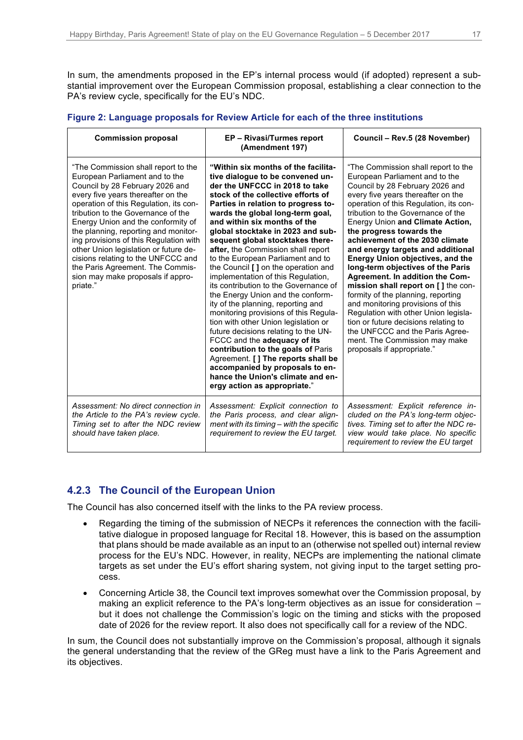In sum, the amendments proposed in the EP's internal process would (if adopted) represent a substantial improvement over the European Commission proposal, establishing a clear connection to the PA's review cycle, specifically for the EU's NDC.

#### **Figure 2: Language proposals for Review Article for each of the three institutions**

| <b>Commission proposal</b>                                                                                                                                                                                                                                                                                                                                                                                                                                                                                                 | EP - Rivasi/Turmes report<br>(Amendment 197)                                                                                                                                                                                                                                                                                                                                                                                                                                                                                                                                                                                                                                                                                                                                                                                                                                                                                                                   | Council - Rev.5 (28 November)                                                                                                                                                                                                                                                                                                                                                                                                                                                                                                                                                                                                                                                                                                                                                                 |
|----------------------------------------------------------------------------------------------------------------------------------------------------------------------------------------------------------------------------------------------------------------------------------------------------------------------------------------------------------------------------------------------------------------------------------------------------------------------------------------------------------------------------|----------------------------------------------------------------------------------------------------------------------------------------------------------------------------------------------------------------------------------------------------------------------------------------------------------------------------------------------------------------------------------------------------------------------------------------------------------------------------------------------------------------------------------------------------------------------------------------------------------------------------------------------------------------------------------------------------------------------------------------------------------------------------------------------------------------------------------------------------------------------------------------------------------------------------------------------------------------|-----------------------------------------------------------------------------------------------------------------------------------------------------------------------------------------------------------------------------------------------------------------------------------------------------------------------------------------------------------------------------------------------------------------------------------------------------------------------------------------------------------------------------------------------------------------------------------------------------------------------------------------------------------------------------------------------------------------------------------------------------------------------------------------------|
| "The Commission shall report to the<br>European Parliament and to the<br>Council by 28 February 2026 and<br>every five years thereafter on the<br>operation of this Regulation, its con-<br>tribution to the Governance of the<br>Energy Union and the conformity of<br>the planning, reporting and monitor-<br>ing provisions of this Regulation with<br>other Union legislation or future de-<br>cisions relating to the UNFCCC and<br>the Paris Agreement. The Commis-<br>sion may make proposals if appro-<br>priate." | "Within six months of the facilita-<br>tive dialoque to be convened un-<br>der the UNFCCC in 2018 to take<br>stock of the collective efforts of<br>Parties in relation to progress to-<br>wards the global long-term goal,<br>and within six months of the<br>global stocktake in 2023 and sub-<br>sequent global stocktakes there-<br>after, the Commission shall report<br>to the European Parliament and to<br>the Council [ ] on the operation and<br>implementation of this Regulation,<br>its contribution to the Governance of<br>the Energy Union and the conform-<br>ity of the planning, reporting and<br>monitoring provisions of this Regula-<br>tion with other Union legislation or<br>future decisions relating to the UN-<br>FCCC and the adequacy of its<br>contribution to the goals of Paris<br>Agreement. [ ] The reports shall be<br>accompanied by proposals to en-<br>hance the Union's climate and en-<br>ergy action as appropriate." | "The Commission shall report to the<br>European Parliament and to the<br>Council by 28 February 2026 and<br>every five years thereafter on the<br>operation of this Regulation, its con-<br>tribution to the Governance of the<br>Energy Union and Climate Action,<br>the progress towards the<br>achievement of the 2030 climate<br>and energy targets and additional<br><b>Energy Union objectives, and the</b><br>long-term objectives of the Paris<br>Agreement. In addition the Com-<br>mission shall report on [] the con-<br>formity of the planning, reporting<br>and monitoring provisions of this<br>Regulation with other Union legisla-<br>tion or future decisions relating to<br>the UNFCCC and the Paris Agree-<br>ment. The Commission may make<br>proposals if appropriate." |
| Assessment: No direct connection in<br>the Article to the PA's review cycle.<br>Timing set to after the NDC review<br>should have taken place.                                                                                                                                                                                                                                                                                                                                                                             | Assessment: Explicit connection to<br>the Paris process, and clear align-<br>ment with its timing - with the specific<br>requirement to review the EU target.                                                                                                                                                                                                                                                                                                                                                                                                                                                                                                                                                                                                                                                                                                                                                                                                  | Assessment: Explicit reference in-<br>cluded on the PA's long-term objec-<br>tives. Timing set to after the NDC re-<br>view would take place. No specific<br>requirement to review the EU target                                                                                                                                                                                                                                                                                                                                                                                                                                                                                                                                                                                              |

#### **4.2.3 The Council of the European Union**

The Council has also concerned itself with the links to the PA review process.

- Regarding the timing of the submission of NECPs it references the connection with the facilitative dialogue in proposed language for Recital 18. However, this is based on the assumption that plans should be made available as an input to an (otherwise not spelled out) internal review process for the EU's NDC. However, in reality, NECPs are implementing the national climate targets as set under the EU's effort sharing system, not giving input to the target setting process.
- Concerning Article 38, the Council text improves somewhat over the Commission proposal, by making an explicit reference to the PA's long-term objectives as an issue for consideration – but it does not challenge the Commission's logic on the timing and sticks with the proposed date of 2026 for the review report. It also does not specifically call for a review of the NDC.

In sum, the Council does not substantially improve on the Commission's proposal, although it signals the general understanding that the review of the GReg must have a link to the Paris Agreement and its objectives.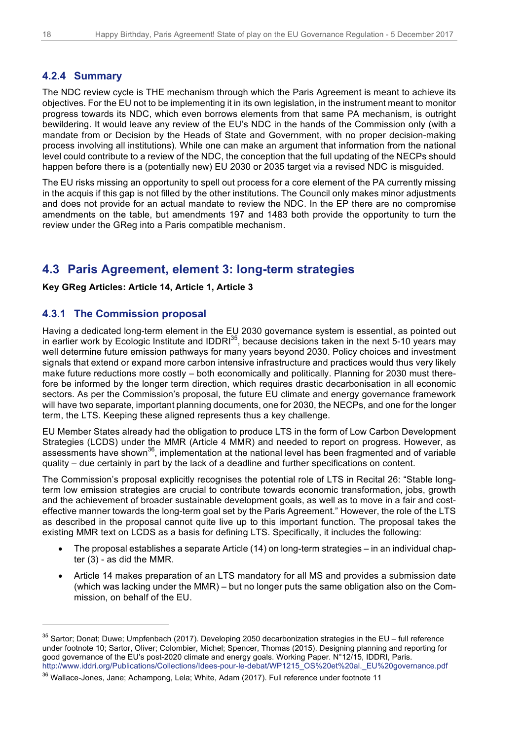#### **4.2.4 Summary**

The NDC review cycle is THE mechanism through which the Paris Agreement is meant to achieve its objectives. For the EU not to be implementing it in its own legislation, in the instrument meant to monitor progress towards its NDC, which even borrows elements from that same PA mechanism, is outright bewildering. It would leave any review of the EU's NDC in the hands of the Commission only (with a mandate from or Decision by the Heads of State and Government, with no proper decision-making process involving all institutions). While one can make an argument that information from the national level could contribute to a review of the NDC, the conception that the full updating of the NECPs should happen before there is a (potentially new) EU 2030 or 2035 target via a revised NDC is misguided.

The EU risks missing an opportunity to spell out process for a core element of the PA currently missing in the acquis if this gap is not filled by the other institutions. The Council only makes minor adjustments and does not provide for an actual mandate to review the NDC. In the EP there are no compromise amendments on the table, but amendments 197 and 1483 both provide the opportunity to turn the review under the GReg into a Paris compatible mechanism.

### **4.3 Paris Agreement, element 3: long-term strategies**

#### **Key GReg Articles: Article 14, Article 1, Article 3**

#### **4.3.1 The Commission proposal**

Having a dedicated long-term element in the EU 2030 governance system is essential, as pointed out in earlier work by Ecologic Institute and IDDRI $^{35}$ , because decisions taken in the next 5-10 years may well determine future emission pathways for many years beyond 2030. Policy choices and investment signals that extend or expand more carbon intensive infrastructure and practices would thus very likely make future reductions more costly – both economically and politically. Planning for 2030 must therefore be informed by the longer term direction, which requires drastic decarbonisation in all economic sectors. As per the Commission's proposal, the future EU climate and energy governance framework will have two separate, important planning documents, one for 2030, the NECPs, and one for the longer term, the LTS. Keeping these aligned represents thus a key challenge.

EU Member States already had the obligation to produce LTS in the form of Low Carbon Development Strategies (LCDS) under the MMR (Article 4 MMR) and needed to report on progress. However, as assessments have shown<sup>36</sup>, implementation at the national level has been fragmented and of variable quality – due certainly in part by the lack of a deadline and further specifications on content.

The Commission's proposal explicitly recognises the potential role of LTS in Recital 26: "Stable longterm low emission strategies are crucial to contribute towards economic transformation, jobs, growth and the achievement of broader sustainable development goals, as well as to move in a fair and costeffective manner towards the long-term goal set by the Paris Agreement." However, the role of the LTS as described in the proposal cannot quite live up to this important function. The proposal takes the existing MMR text on LCDS as a basis for defining LTS. Specifically, it includes the following:

- The proposal establishes a separate Article (14) on long-term strategies in an individual chapter (3) - as did the MMR.
- Article 14 makes preparation of an LTS mandatory for all MS and provides a submission date (which was lacking under the MMR) – but no longer puts the same obligation also on the Commission, on behalf of the EU.

 $35$  Sartor; Donat; Duwe; Umpfenbach (2017). Developing 2050 decarbonization strategies in the EU – full reference under footnote 10; Sartor, Oliver; Colombier, Michel; Spencer, Thomas (2015). Designing planning and reporting for good governance of the EU's post-2020 climate and energy goals. Working Paper. N°12/15, IDDRI, Paris. http://www.iddri.org/Publications/Collections/Idees-pour-le-debat/WP1215\_OS%20et%20al.\_EU%20governance.pdf

<sup>&</sup>lt;sup>36</sup> Wallace-Jones, Jane; Achampong, Lela; White, Adam (2017). Full reference under footnote 11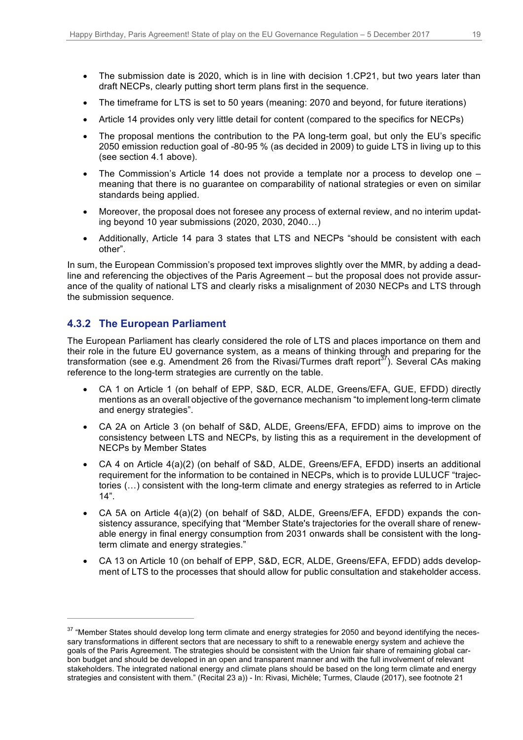- The submission date is 2020, which is in line with decision 1.CP21, but two years later than draft NECPs, clearly putting short term plans first in the sequence.
- The timeframe for LTS is set to 50 years (meaning: 2070 and beyond, for future iterations)
- Article 14 provides only very little detail for content (compared to the specifics for NECPs)
- The proposal mentions the contribution to the PA long-term goal, but only the EU's specific 2050 emission reduction goal of -80-95 % (as decided in 2009) to guide LTS in living up to this (see section 4.1 above).
- The Commission's Article 14 does not provide a template nor a process to develop one meaning that there is no guarantee on comparability of national strategies or even on similar standards being applied.
- Moreover, the proposal does not foresee any process of external review, and no interim updating beyond 10 year submissions (2020, 2030, 2040…)
- Additionally, Article 14 para 3 states that LTS and NECPs "should be consistent with each other".

In sum, the European Commission's proposed text improves slightly over the MMR, by adding a deadline and referencing the objectives of the Paris Agreement – but the proposal does not provide assurance of the quality of national LTS and clearly risks a misalignment of 2030 NECPs and LTS through the submission sequence.

#### **4.3.2 The European Parliament**

 $\overline{a}$ 

The European Parliament has clearly considered the role of LTS and places importance on them and their role in the future EU governance system, as a means of thinking through and preparing for the transformation (see e.g. Amendment 26 from the Rivasi/Turmes draft report<sup>37</sup>). Several CAs making reference to the long-term strategies are currently on the table.

- CA 1 on Article 1 (on behalf of EPP, S&D, ECR, ALDE, Greens/EFA, GUE, EFDD) directly mentions as an overall objective of the governance mechanism "to implement long-term climate and energy strategies".
- CA 2A on Article 3 (on behalf of S&D, ALDE, Greens/EFA, EFDD) aims to improve on the consistency between LTS and NECPs, by listing this as a requirement in the development of NECPs by Member States
- CA 4 on Article 4(a)(2) (on behalf of S&D, ALDE, Greens/EFA, EFDD) inserts an additional requirement for the information to be contained in NECPs, which is to provide LULUCF "trajectories (…) consistent with the long-term climate and energy strategies as referred to in Article  $14"$ .
- CA 5A on Article 4(a)(2) (on behalf of S&D, ALDE, Greens/EFA, EFDD) expands the consistency assurance, specifying that "Member State's trajectories for the overall share of renewable energy in final energy consumption from 2031 onwards shall be consistent with the longterm climate and energy strategies."
- CA 13 on Article 10 (on behalf of EPP, S&D, ECR, ALDE, Greens/EFA, EFDD) adds development of LTS to the processes that should allow for public consultation and stakeholder access.

<sup>&</sup>lt;sup>37</sup> "Member States should develop long term climate and energy strategies for 2050 and beyond identifying the necessary transformations in different sectors that are necessary to shift to a renewable energy system and achieve the goals of the Paris Agreement. The strategies should be consistent with the Union fair share of remaining global carbon budget and should be developed in an open and transparent manner and with the full involvement of relevant stakeholders. The integrated national energy and climate plans should be based on the long term climate and energy strategies and consistent with them." (Recital 23 a)) - In: Rivasi, Michèle; Turmes, Claude (2017), see footnote 21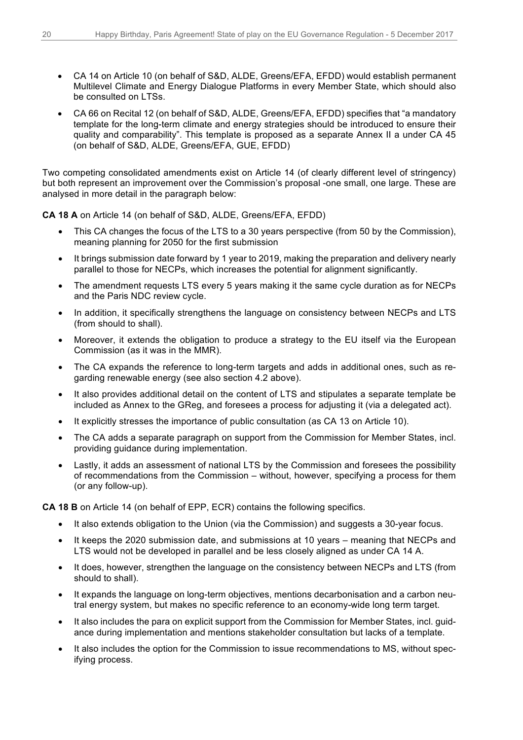- CA 14 on Article 10 (on behalf of S&D, ALDE, Greens/EFA, EFDD) would establish permanent Multilevel Climate and Energy Dialogue Platforms in every Member State, which should also be consulted on LTSs.
- CA 66 on Recital 12 (on behalf of S&D, ALDE, Greens/EFA, EFDD) specifies that "a mandatory template for the long-term climate and energy strategies should be introduced to ensure their quality and comparability". This template is proposed as a separate Annex II a under CA 45 (on behalf of S&D, ALDE, Greens/EFA, GUE, EFDD)

Two competing consolidated amendments exist on Article 14 (of clearly different level of stringency) but both represent an improvement over the Commission's proposal -one small, one large. These are analysed in more detail in the paragraph below:

**CA 18 A** on Article 14 (on behalf of S&D, ALDE, Greens/EFA, EFDD)

- This CA changes the focus of the LTS to a 30 years perspective (from 50 by the Commission), meaning planning for 2050 for the first submission
- It brings submission date forward by 1 year to 2019, making the preparation and delivery nearly parallel to those for NECPs, which increases the potential for alignment significantly.
- The amendment requests LTS every 5 years making it the same cycle duration as for NECPs and the Paris NDC review cycle.
- In addition, it specifically strengthens the language on consistency between NECPs and LTS (from should to shall).
- Moreover, it extends the obligation to produce a strategy to the EU itself via the European Commission (as it was in the MMR).
- The CA expands the reference to long-term targets and adds in additional ones, such as regarding renewable energy (see also section 4.2 above).
- It also provides additional detail on the content of LTS and stipulates a separate template be included as Annex to the GReg, and foresees a process for adjusting it (via a delegated act).
- It explicitly stresses the importance of public consultation (as CA 13 on Article 10).
- The CA adds a separate paragraph on support from the Commission for Member States, incl. providing guidance during implementation.
- Lastly, it adds an assessment of national LTS by the Commission and foresees the possibility of recommendations from the Commission – without, however, specifying a process for them (or any follow-up).

**CA 18 B** on Article 14 (on behalf of EPP, ECR) contains the following specifics.

- It also extends obligation to the Union (via the Commission) and suggests a 30-year focus.
- It keeps the 2020 submission date, and submissions at 10 years meaning that NECPs and LTS would not be developed in parallel and be less closely aligned as under CA 14 A.
- It does, however, strengthen the language on the consistency between NECPs and LTS (from should to shall).
- It expands the language on long-term objectives, mentions decarbonisation and a carbon neutral energy system, but makes no specific reference to an economy-wide long term target.
- It also includes the para on explicit support from the Commission for Member States, incl. guidance during implementation and mentions stakeholder consultation but lacks of a template.
- It also includes the option for the Commission to issue recommendations to MS, without specifying process.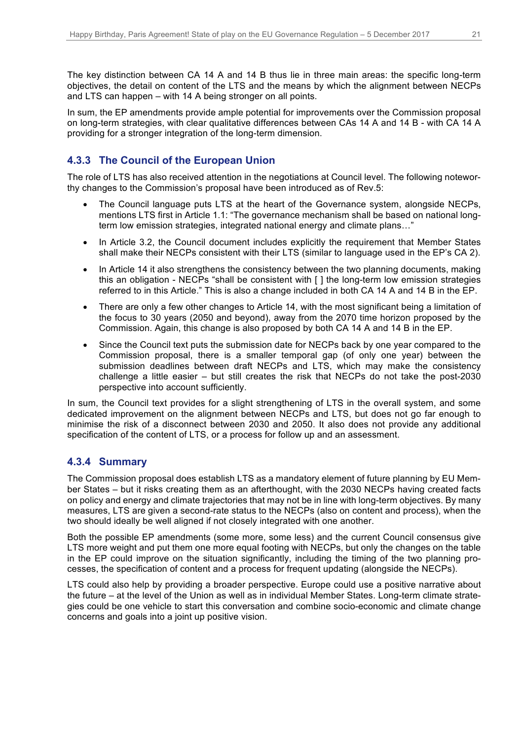The key distinction between CA 14 A and 14 B thus lie in three main areas: the specific long-term objectives, the detail on content of the LTS and the means by which the alignment between NECPs and LTS can happen – with 14 A being stronger on all points.

In sum, the EP amendments provide ample potential for improvements over the Commission proposal on long-term strategies, with clear qualitative differences between CAs 14 A and 14 B - with CA 14 A providing for a stronger integration of the long-term dimension.

### **4.3.3 The Council of the European Union**

The role of LTS has also received attention in the negotiations at Council level. The following noteworthy changes to the Commission's proposal have been introduced as of Rev.5:

- The Council language puts LTS at the heart of the Governance system, alongside NECPs, mentions LTS first in Article 1.1: "The governance mechanism shall be based on national longterm low emission strategies, integrated national energy and climate plans…"
- In Article 3.2, the Council document includes explicitly the requirement that Member States shall make their NECPs consistent with their LTS (similar to language used in the EP's CA 2).
- In Article 14 it also strengthens the consistency between the two planning documents, making this an obligation - NECPs "shall be consistent with [ ] the long-term low emission strategies referred to in this Article." This is also a change included in both CA 14 A and 14 B in the EP.
- There are only a few other changes to Article 14, with the most significant being a limitation of the focus to 30 years (2050 and beyond), away from the 2070 time horizon proposed by the Commission. Again, this change is also proposed by both CA 14 A and 14 B in the EP.
- Since the Council text puts the submission date for NECPs back by one year compared to the Commission proposal, there is a smaller temporal gap (of only one year) between the submission deadlines between draft NECPs and LTS, which may make the consistency challenge a little easier – but still creates the risk that NECPs do not take the post-2030 perspective into account sufficiently.

In sum, the Council text provides for a slight strengthening of LTS in the overall system, and some dedicated improvement on the alignment between NECPs and LTS, but does not go far enough to minimise the risk of a disconnect between 2030 and 2050. It also does not provide any additional specification of the content of LTS, or a process for follow up and an assessment.

#### **4.3.4 Summary**

The Commission proposal does establish LTS as a mandatory element of future planning by EU Member States – but it risks creating them as an afterthought, with the 2030 NECPs having created facts on policy and energy and climate trajectories that may not be in line with long-term objectives. By many measures, LTS are given a second-rate status to the NECPs (also on content and process), when the two should ideally be well aligned if not closely integrated with one another.

Both the possible EP amendments (some more, some less) and the current Council consensus give LTS more weight and put them one more equal footing with NECPs, but only the changes on the table in the EP could improve on the situation significantly, including the timing of the two planning processes, the specification of content and a process for frequent updating (alongside the NECPs).

LTS could also help by providing a broader perspective. Europe could use a positive narrative about the future – at the level of the Union as well as in individual Member States. Long-term climate strategies could be one vehicle to start this conversation and combine socio-economic and climate change concerns and goals into a joint up positive vision.